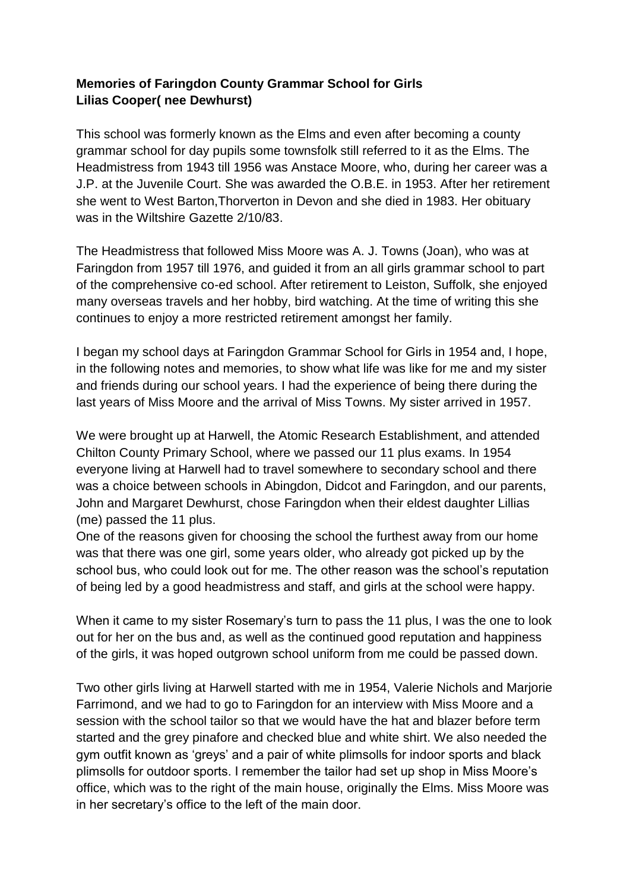## **Memories of Faringdon County Grammar School for Girls Lilias Cooper( nee Dewhurst)**

This school was formerly known as the Elms and even after becoming a county grammar school for day pupils some townsfolk still referred to it as the Elms. The Headmistress from 1943 till 1956 was Anstace Moore, who, during her career was a J.P. at the Juvenile Court. She was awarded the O.B.E. in 1953. After her retirement she went to West Barton,Thorverton in Devon and she died in 1983. Her obituary was in the Wiltshire Gazette 2/10/83.

The Headmistress that followed Miss Moore was A. J. Towns (Joan), who was at Faringdon from 1957 till 1976, and guided it from an all girls grammar school to part of the comprehensive co-ed school. After retirement to Leiston, Suffolk, she enjoyed many overseas travels and her hobby, bird watching. At the time of writing this she continues to enjoy a more restricted retirement amongst her family.

I began my school days at Faringdon Grammar School for Girls in 1954 and, I hope, in the following notes and memories, to show what life was like for me and my sister and friends during our school years. I had the experience of being there during the last years of Miss Moore and the arrival of Miss Towns. My sister arrived in 1957.

We were brought up at Harwell, the Atomic Research Establishment, and attended Chilton County Primary School, where we passed our 11 plus exams. In 1954 everyone living at Harwell had to travel somewhere to secondary school and there was a choice between schools in Abingdon, Didcot and Faringdon, and our parents, John and Margaret Dewhurst, chose Faringdon when their eldest daughter Lillias (me) passed the 11 plus.

One of the reasons given for choosing the school the furthest away from our home was that there was one girl, some years older, who already got picked up by the school bus, who could look out for me. The other reason was the school's reputation of being led by a good headmistress and staff, and girls at the school were happy.

When it came to my sister Rosemary's turn to pass the 11 plus, I was the one to look out for her on the bus and, as well as the continued good reputation and happiness of the girls, it was hoped outgrown school uniform from me could be passed down.

Two other girls living at Harwell started with me in 1954, Valerie Nichols and Marjorie Farrimond, and we had to go to Faringdon for an interview with Miss Moore and a session with the school tailor so that we would have the hat and blazer before term started and the grey pinafore and checked blue and white shirt. We also needed the gym outfit known as 'greys' and a pair of white plimsolls for indoor sports and black plimsolls for outdoor sports. I remember the tailor had set up shop in Miss Moore's office, which was to the right of the main house, originally the Elms. Miss Moore was in her secretary's office to the left of the main door.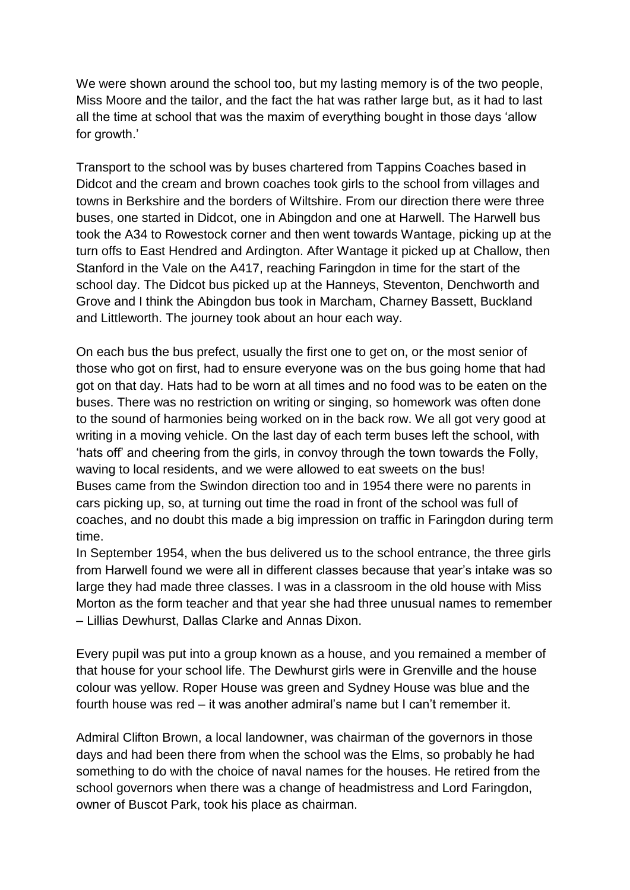We were shown around the school too, but my lasting memory is of the two people, Miss Moore and the tailor, and the fact the hat was rather large but, as it had to last all the time at school that was the maxim of everything bought in those days 'allow for growth.'

Transport to the school was by buses chartered from Tappins Coaches based in Didcot and the cream and brown coaches took girls to the school from villages and towns in Berkshire and the borders of Wiltshire. From our direction there were three buses, one started in Didcot, one in Abingdon and one at Harwell. The Harwell bus took the A34 to Rowestock corner and then went towards Wantage, picking up at the turn offs to East Hendred and Ardington. After Wantage it picked up at Challow, then Stanford in the Vale on the A417, reaching Faringdon in time for the start of the school day. The Didcot bus picked up at the Hanneys, Steventon, Denchworth and Grove and I think the Abingdon bus took in Marcham, Charney Bassett, Buckland and Littleworth. The journey took about an hour each way.

On each bus the bus prefect, usually the first one to get on, or the most senior of those who got on first, had to ensure everyone was on the bus going home that had got on that day. Hats had to be worn at all times and no food was to be eaten on the buses. There was no restriction on writing or singing, so homework was often done to the sound of harmonies being worked on in the back row. We all got very good at writing in a moving vehicle. On the last day of each term buses left the school, with 'hats off' and cheering from the girls, in convoy through the town towards the Folly, waving to local residents, and we were allowed to eat sweets on the bus! Buses came from the Swindon direction too and in 1954 there were no parents in cars picking up, so, at turning out time the road in front of the school was full of coaches, and no doubt this made a big impression on traffic in Faringdon during term time.

In September 1954, when the bus delivered us to the school entrance, the three girls from Harwell found we were all in different classes because that year's intake was so large they had made three classes. I was in a classroom in the old house with Miss Morton as the form teacher and that year she had three unusual names to remember – Lillias Dewhurst, Dallas Clarke and Annas Dixon.

Every pupil was put into a group known as a house, and you remained a member of that house for your school life. The Dewhurst girls were in Grenville and the house colour was yellow. Roper House was green and Sydney House was blue and the fourth house was red – it was another admiral's name but I can't remember it.

Admiral Clifton Brown, a local landowner, was chairman of the governors in those days and had been there from when the school was the Elms, so probably he had something to do with the choice of naval names for the houses. He retired from the school governors when there was a change of headmistress and Lord Faringdon, owner of Buscot Park, took his place as chairman.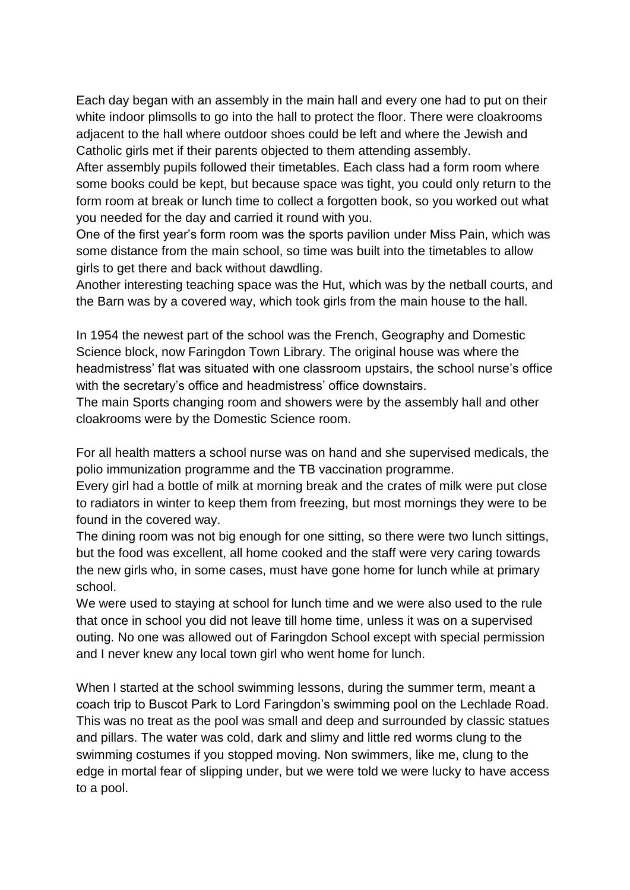Each day began with an assembly in the main hall and every one had to put on their white indoor plimsolls to go into the hall to protect the floor. There were cloakrooms adjacent to the hall where outdoor shoes could be left and where the Jewish and Catholic girls met if their parents objected to them attending assembly.

After assembly pupils followed their timetables. Each class had a form room where some books could be kept, but because space was tight, you could only return to the form room at break or lunch time to collect a forgotten book, so you worked out what you needed for the day and carried it round with you.

One of the first year's form room was the sports pavilion under Miss Pain, which was some distance from the main school, so time was built into the timetables to allow girls to get there and back without dawdling.

Another interesting teaching space was the Hut, which was by the netball courts, and the Barn was by a covered way, which took girls from the main house to the hall.

In 1954 the newest part of the school was the French, Geography and Domestic Science block, now Faringdon Town Library. The original house was where the headmistress' flat was situated with one classroom upstairs, the school nurse's office with the secretary's office and headmistress' office downstairs.

The main Sports changing room and showers were by the assembly hall and other cloakrooms were by the Domestic Science room.

For all health matters a school nurse was on hand and she supervised medicals, the polio immunization programme and the TB vaccination programme.

Every girl had a bottle of milk at morning break and the crates of milk were put close to radiators in winter to keep them from freezing, but most mornings they were to be found in the covered way.

The dining room was not big enough for one sitting, so there were two lunch sittings, but the food was excellent, all home cooked and the staff were very caring towards the new girls who, in some cases, must have gone home for lunch while at primary school.

We were used to staying at school for lunch time and we were also used to the rule that once in school you did not leave till home time, unless it was on a supervised outing. No one was allowed out of Faringdon School except with special permission and I never knew any local town girl who went home for lunch.

When I started at the school swimming lessons, during the summer term, meant a coach trip to Buscot Park to Lord Faringdon's swimming pool on the Lechlade Road. This was no treat as the pool was small and deep and surrounded by classic statues and pillars. The water was cold, dark and slimy and little red worms clung to the swimming costumes if you stopped moving. Non swimmers, like me, clung to the edge in mortal fear of slipping under, but we were told we were lucky to have access to a pool.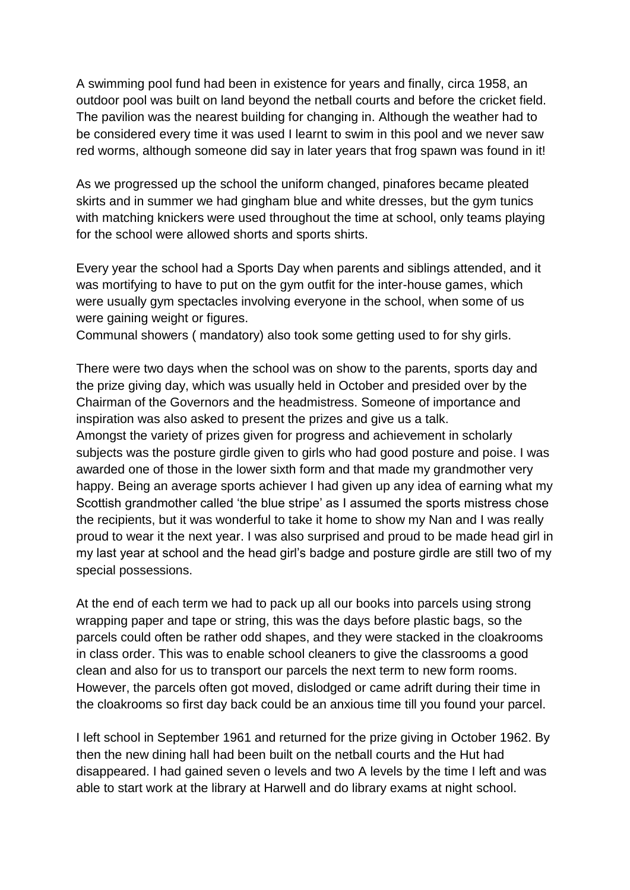A swimming pool fund had been in existence for years and finally, circa 1958, an outdoor pool was built on land beyond the netball courts and before the cricket field. The pavilion was the nearest building for changing in. Although the weather had to be considered every time it was used I learnt to swim in this pool and we never saw red worms, although someone did say in later years that frog spawn was found in it!

As we progressed up the school the uniform changed, pinafores became pleated skirts and in summer we had gingham blue and white dresses, but the gym tunics with matching knickers were used throughout the time at school, only teams playing for the school were allowed shorts and sports shirts.

Every year the school had a Sports Day when parents and siblings attended, and it was mortifying to have to put on the gym outfit for the inter-house games, which were usually gym spectacles involving everyone in the school, when some of us were gaining weight or figures.

Communal showers ( mandatory) also took some getting used to for shy girls.

There were two days when the school was on show to the parents, sports day and the prize giving day, which was usually held in October and presided over by the Chairman of the Governors and the headmistress. Someone of importance and inspiration was also asked to present the prizes and give us a talk.

Amongst the variety of prizes given for progress and achievement in scholarly subjects was the posture girdle given to girls who had good posture and poise. I was awarded one of those in the lower sixth form and that made my grandmother very happy. Being an average sports achiever I had given up any idea of earning what my Scottish grandmother called 'the blue stripe' as I assumed the sports mistress chose the recipients, but it was wonderful to take it home to show my Nan and I was really proud to wear it the next year. I was also surprised and proud to be made head girl in my last year at school and the head girl's badge and posture girdle are still two of my special possessions.

At the end of each term we had to pack up all our books into parcels using strong wrapping paper and tape or string, this was the days before plastic bags, so the parcels could often be rather odd shapes, and they were stacked in the cloakrooms in class order. This was to enable school cleaners to give the classrooms a good clean and also for us to transport our parcels the next term to new form rooms. However, the parcels often got moved, dislodged or came adrift during their time in the cloakrooms so first day back could be an anxious time till you found your parcel.

I left school in September 1961 and returned for the prize giving in October 1962. By then the new dining hall had been built on the netball courts and the Hut had disappeared. I had gained seven o levels and two A levels by the time I left and was able to start work at the library at Harwell and do library exams at night school.